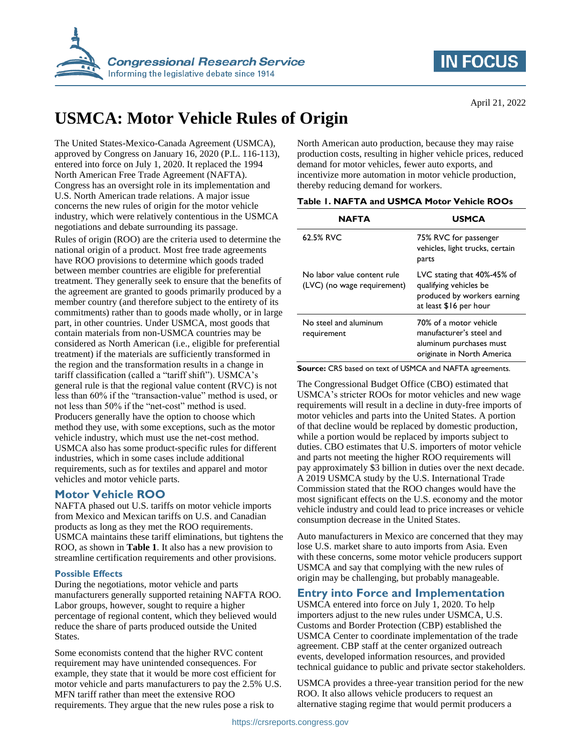



# **USMCA: Motor Vehicle Rules of Origin**

The United States-Mexico-Canada Agreement (USMCA), approved by Congress on January 16, 2020 (P.L. 116-113), entered into force on July 1, 2020. It replaced the 1994 North American Free Trade Agreement (NAFTA). Congress has an oversight role in its implementation and U.S. North American trade relations. A major issue concerns the new rules of origin for the motor vehicle industry, which were relatively contentious in the USMCA negotiations and debate surrounding its passage.

Rules of origin (ROO) are the criteria used to determine the national origin of a product. Most free trade agreements have ROO provisions to determine which goods traded between member countries are eligible for preferential treatment. They generally seek to ensure that the benefits of the agreement are granted to goods primarily produced by a member country (and therefore subject to the entirety of its commitments) rather than to goods made wholly, or in large part, in other countries. Under USMCA, most goods that contain materials from non-USMCA countries may be considered as North American (i.e., eligible for preferential treatment) if the materials are sufficiently transformed in the region and the transformation results in a change in tariff classification (called a "tariff shift"). USMCA's general rule is that the regional value content (RVC) is not less than 60% if the "transaction-value" method is used, or not less than 50% if the "net-cost" method is used. Producers generally have the option to choose which method they use, with some exceptions, such as the motor vehicle industry, which must use the net-cost method. USMCA also has some product-specific rules for different industries, which in some cases include additional requirements, such as for textiles and apparel and motor vehicles and motor vehicle parts.

# **Motor Vehicle ROO**

NAFTA phased out U.S. tariffs on motor vehicle imports from Mexico and Mexican tariffs on U.S. and Canadian products as long as they met the ROO requirements. USMCA maintains these tariff eliminations, but tightens the ROO, as shown in **[Table 1](#page-0-0)**. It also has a new provision to streamline certification requirements and other provisions.

#### **Possible Effects**

During the negotiations, motor vehicle and parts manufacturers generally supported retaining NAFTA ROO. Labor groups, however, sought to require a higher percentage of regional content, which they believed would reduce the share of parts produced outside the United States.

Some economists contend that the higher RVC content requirement may have unintended consequences. For example, they state that it would be more cost efficient for motor vehicle and parts manufacturers to pay the 2.5% U.S. MFN tariff rather than meet the extensive ROO requirements. They argue that the new rules pose a risk to

North American auto production, because they may raise production costs, resulting in higher vehicle prices, reduced demand for motor vehicles, fewer auto exports, and incentivize more automation in motor vehicle production, thereby reducing demand for workers.

<span id="page-0-0"></span>

|  | Table 1. NAFTA and USMCA Motor Vehicle ROOs |  |  |
|--|---------------------------------------------|--|--|
|  |                                             |  |  |

| NAFTA                                                      | USMCA                                                                                                          |  |
|------------------------------------------------------------|----------------------------------------------------------------------------------------------------------------|--|
| 62.5% RVC                                                  | 75% RVC for passenger<br>vehicles, light trucks, certain<br>parts                                              |  |
| No labor value content rule<br>(LVC) (no wage requirement) | LVC stating that 40%-45% of<br>qualifying vehicles be<br>produced by workers earning<br>at least \$16 per hour |  |
| No steel and aluminum<br>requirement                       | 70% of a motor vehicle<br>manufacturer's steel and<br>aluminum purchases must<br>originate in North America    |  |

**Source:** CRS based on text of USMCA and NAFTA agreements.

The Congressional Budget Office (CBO) estimated that USMCA's stricter ROOs for motor vehicles and new wage requirements will result in a decline in duty-free imports of motor vehicles and parts into the United States. A portion of that decline would be replaced by domestic production, while a portion would be replaced by imports subject to duties. CBO estimates that U.S. importers of motor vehicle and parts not meeting the higher ROO requirements will pay approximately \$3 billion in duties over the next decade. A 2019 USMCA study by the U.S. International Trade Commission stated that the ROO changes would have the most significant effects on the U.S. economy and the motor vehicle industry and could lead to price increases or vehicle consumption decrease in the United States.

Auto manufacturers in Mexico are concerned that they may lose U.S. market share to auto imports from Asia. Even with these concerns, some motor vehicle producers support USMCA and say that complying with the new rules of origin may be challenging, but probably manageable.

# **Entry into Force and Implementation**

USMCA entered into force on July 1, 2020. To help importers adjust to the new rules under USMCA, U.S. Customs and Border Protection (CBP) established the USMCA Center to coordinate implementation of the trade agreement. CBP staff at the center organized outreach events, developed information resources, and provided technical guidance to public and private sector stakeholders.

USMCA provides a three-year transition period for the new ROO. It also allows vehicle producers to request an alternative staging regime that would permit producers a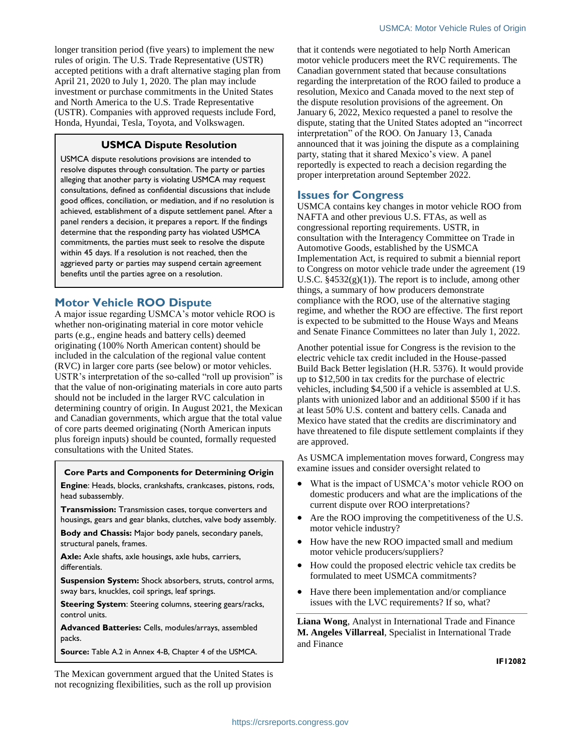longer transition period (five years) to implement the new rules of origin. The U.S. Trade Representative (USTR) accepted petitions with a draft alternative staging plan from April 21, 2020 to July 1, 2020. The plan may include investment or purchase commitments in the United States and North America to the U.S. Trade Representative (USTR). Companies with approved requests include Ford, Honda, Hyundai, Tesla, Toyota, and Volkswagen.

#### **USMCA Dispute Resolution**

USMCA dispute resolutions provisions are intended to resolve disputes through consultation. The party or parties alleging that another party is violating USMCA may request consultations, defined as confidential discussions that include good offices, conciliation, or mediation, and if no resolution is achieved, establishment of a dispute settlement panel. After a panel renders a decision, it prepares a report. If the findings determine that the responding party has violated USMCA commitments, the parties must seek to resolve the dispute within 45 days. If a resolution is not reached, then the aggrieved party or parties may suspend certain agreement benefits until the parties agree on a resolution.

# **Motor Vehicle ROO Dispute**

A major issue regarding USMCA's motor vehicle ROO is whether non-originating material in core motor vehicle parts (e.g., engine heads and battery cells) deemed originating (100% North American content) should be included in the calculation of the regional value content (RVC) in larger core parts (see below) or motor vehicles. USTR's interpretation of the so-called "roll up provision" is that the value of non-originating materials in core auto parts should not be included in the larger RVC calculation in determining country of origin. In August 2021, the Mexican and Canadian governments, which argue that the total value of core parts deemed originating (North American inputs plus foreign inputs) should be counted, formally requested consultations with the United States.

#### **Core Parts and Components for Determining Origin**

**Engine**: Heads, blocks, crankshafts, crankcases, pistons, rods, head subassembly.

**Transmission:** Transmission cases, torque converters and housings, gears and gear blanks, clutches, valve body assembly.

**Body and Chassis:** Major body panels, secondary panels, structural panels, frames.

**Axle:** Axle shafts, axle housings, axle hubs, carriers, differentials.

**Suspension System:** Shock absorbers, struts, control arms, sway bars, knuckles, coil springs, leaf springs.

**Steering System**: Steering columns, steering gears/racks, control units.

**Advanced Batteries:** Cells, modules/arrays, assembled packs.

**Source:** Table A.2 in Annex 4-B, Chapter 4 of the USMCA.

The Mexican government argued that the United States is not recognizing flexibilities, such as the roll up provision

that it contends were negotiated to help North American motor vehicle producers meet the RVC requirements. The Canadian government stated that because consultations regarding the interpretation of the ROO failed to produce a resolution, Mexico and Canada moved to the next step of the dispute resolution provisions of the agreement. On January 6, 2022, Mexico requested a panel to resolve the dispute, stating that the United States adopted an "incorrect interpretation" of the ROO. On January 13, Canada announced that it was joining the dispute as a complaining party, stating that it shared Mexico's view. A panel reportedly is expected to reach a decision regarding the proper interpretation around September 2022.

# **Issues for Congress**

USMCA contains key changes in motor vehicle ROO from NAFTA and other previous U.S. FTAs, as well as congressional reporting requirements. USTR, in consultation with the Interagency Committee on Trade in Automotive Goods, established by the USMCA Implementation Act, is required to submit a biennial report to Congress on motor vehicle trade under the agreement (19 U.S.C.  $\S 4532(g)(1)$ . The report is to include, among other things, a summary of how producers demonstrate compliance with the ROO, use of the alternative staging regime, and whether the ROO are effective. The first report is expected to be submitted to the House Ways and Means and Senate Finance Committees no later than July 1, 2022.

Another potential issue for Congress is the revision to the electric vehicle tax credit included in the House-passed Build Back Better legislation (H.R. 5376). It would provide up to \$12,500 in tax credits for the purchase of electric vehicles, including \$4,500 if a vehicle is assembled at U.S. plants with unionized labor and an additional \$500 if it has at least 50% U.S. content and battery cells. Canada and Mexico have stated that the credits are discriminatory and have threatened to file dispute settlement complaints if they are approved.

As USMCA implementation moves forward, Congress may examine issues and consider oversight related to

- What is the impact of USMCA's motor vehicle ROO on domestic producers and what are the implications of the current dispute over ROO interpretations?
- Are the ROO improving the competitiveness of the U.S. motor vehicle industry?
- How have the new ROO impacted small and medium motor vehicle producers/suppliers?
- How could the proposed electric vehicle tax credits be formulated to meet USMCA commitments?
- Have there been implementation and/or compliance issues with the LVC requirements? If so, what?

**Liana Wong**, Analyst in International Trade and Finance **M. Angeles Villarreal**, Specialist in International Trade and Finance